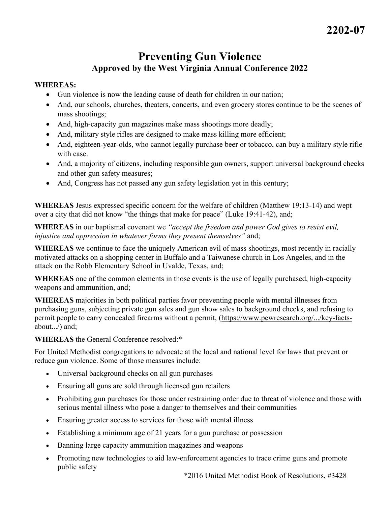## **Preventing Gun Violence Approved by the West Virginia Annual Conference 2022**

## **WHEREAS:**

- Gun violence is now the leading cause of death for children in our nation;
- And, our schools, churches, theaters, concerts, and even grocery stores continue to be the scenes of mass shootings;
- And, high-capacity gun magazines make mass shootings more deadly;
- And, military style rifles are designed to make mass killing more efficient;
- And, eighteen-year-olds, who cannot legally purchase beer or tobacco, can buy a military style rifle with ease.
- And, a majority of citizens, including responsible gun owners, support universal background checks and other gun safety measures;
- And, Congress has not passed any gun safety legislation yet in this century;

**WHEREAS** Jesus expressed specific concern for the welfare of children (Matthew 19:13-14) and wept over a city that did not know "the things that make for peace" (Luke 19:41-42), and;

**WHEREAS** in our baptismal covenant we *"accept the freedom and power God gives to resist evil, injustice and oppression in whatever forms they present themselves"* and;

**WHEREAS** we continue to face the uniquely American evil of mass shootings, most recently in racially motivated attacks on a shopping center in Buffalo and a Taiwanese church in Los Angeles, and in the attack on the Robb Elementary School in Uvalde, Texas, and;

**WHEREAS** one of the common elements in those events is the use of legally purchased, high-capacity weapons and ammunition, and;

**WHEREAS** majorities in both political parties favor preventing people with mental illnesses from purchasing guns, subjecting private gun sales and gun show sales to background checks, and refusing to permit people to carry concealed firearms without a permit, (https://www.pewresearch.org/.../key-factsabout.../) and;

**WHEREAS** the General Conference resolved:\*

For United Methodist congregations to advocate at the local and national level for laws that prevent or reduce gun violence. Some of those measures include:

- Universal background checks on all gun purchases
- Ensuring all guns are sold through licensed gun retailers
- Prohibiting gun purchases for those under restraining order due to threat of violence and those with serious mental illness who pose a danger to themselves and their communities
- Ensuring greater access to services for those with mental illness
- Establishing a minimum age of 21 years for a gun purchase or possession
- Banning large capacity ammunition magazines and weapons
- Promoting new technologies to aid law-enforcement agencies to trace crime guns and promote public safety

\*2016 United Methodist Book of Resolutions, #3428